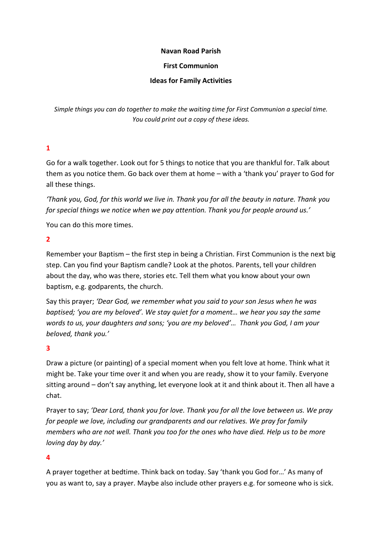#### **Navan Road Parish**

#### **First Communion**

### **Ideas for Family Activities**

*Simple things you can do together to make the waiting time for First Communion a special time. You could print out a copy of these ideas.*

## **1**

Go for a walk together. Look out for 5 things to notice that you are thankful for. Talk about them as you notice them. Go back over them at home – with a 'thank you' prayer to God for all these things.

*'Thank you, God, for this world we live in. Thank you for all the beauty in nature. Thank you for special things we notice when we pay attention. Thank you for people around us.'*

You can do this more times.

### **2**

Remember your Baptism – the first step in being a Christian. First Communion is the next big step. Can you find your Baptism candle? Look at the photos. Parents, tell your children about the day, who was there, stories etc. Tell them what you know about your own baptism, e.g. godparents, the church.

Say this prayer; *'Dear God, we remember what you said to your son Jesus when he was baptised; 'you are my beloved'. We stay quiet for a moment... we hear you say the same words to us, your daughters and sons; 'you are my beloved'… Thank you God, I am your beloved, thank you.'*

### **3**

Draw a picture (or painting) of a special moment when you felt love at home. Think what it might be. Take your time over it and when you are ready, show it to your family. Everyone sitting around – don't say anything, let everyone look at it and think about it. Then all have a chat.

Prayer to say; *'Dear Lord, thank you for love. Thank you for all the love between us. We pray for people we love, including our grandparents and our relatives. We pray for family members who are not well. Thank you too for the ones who have died. Help us to be more loving day by day.'*

### **4**

A prayer together at bedtime. Think back on today. Say 'thank you God for…' As many of you as want to, say a prayer. Maybe also include other prayers e.g. for someone who is sick.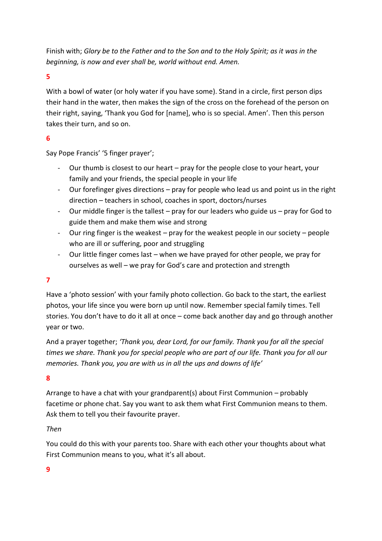Finish with; *Glory be to the Father and to the Son and to the Holy Spirit; as it was in the beginning, is now and ever shall be, world without end. Amen.*

### **5**

With a bowl of water (or holy water if you have some). Stand in a circle, first person dips their hand in the water, then makes the sign of the cross on the forehead of the person on their right, saying, 'Thank you God for [name], who is so special. Amen'. Then this person takes their turn, and so on.

## **6**

Say Pope Francis' '5 finger prayer';

- Our thumb is closest to our heart pray for the people close to your heart, your family and your friends, the special people in your life
- Our forefinger gives directions pray for people who lead us and point us in the right direction – teachers in school, coaches in sport, doctors/nurses
- Our middle finger is the tallest pray for our leaders who guide us pray for God to guide them and make them wise and strong
- Our ring finger is the weakest pray for the weakest people in our society people who are ill or suffering, poor and struggling
- Our little finger comes last when we have prayed for other people, we pray for ourselves as well – we pray for God's care and protection and strength

# **7**

Have a 'photo session' with your family photo collection. Go back to the start, the earliest photos, your life since you were born up until now. Remember special family times. Tell stories. You don't have to do it all at once – come back another day and go through another year or two.

And a prayer together; *'Thank you, dear Lord, for our family. Thank you for all the special times we share. Thank you for special people who are part of our life. Thank you for all our memories. Thank you, you are with us in all the ups and downs of life'*

### **8**

Arrange to have a chat with your grandparent(s) about First Communion – probably facetime or phone chat. Say you want to ask them what First Communion means to them. Ask them to tell you their favourite prayer.

### *Then*

You could do this with your parents too. Share with each other your thoughts about what First Communion means to you, what it's all about.

### **9**